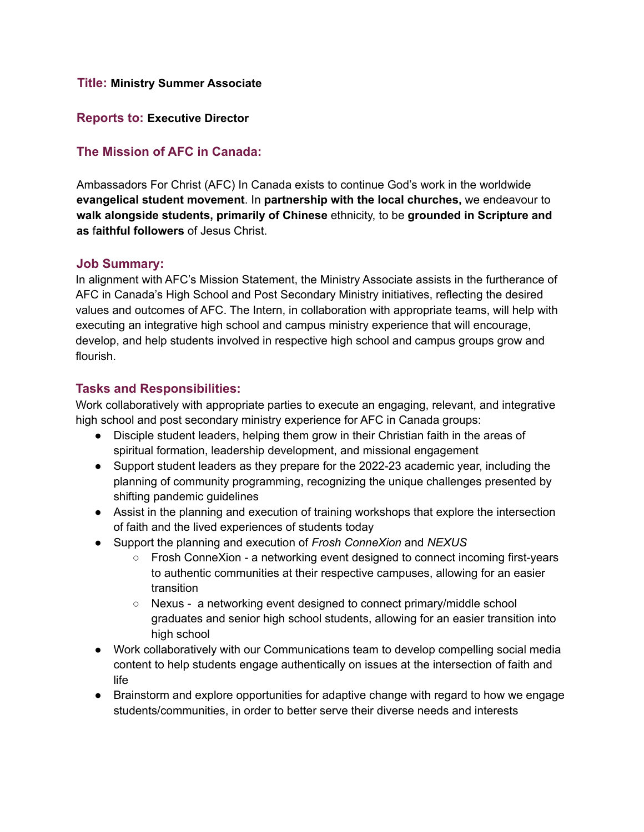#### **Title: Ministry Summer Associate**

#### **Reports to: Executive Director**

## **The Mission of AFC in Canada:**

Ambassadors For Christ (AFC) In Canada exists to continue God's work in the worldwide **evangelical student movement**. In **partnership with the local churches,** we endeavour to **walk alongside students, primarily of Chinese** ethnicity, to be **grounded in Scripture and as** f**aithful followers** of Jesus Christ.

#### **Job Summary:**

In alignment with AFC's Mission Statement, the Ministry Associate assists in the furtherance of AFC in Canada's High School and Post Secondary Ministry initiatives, reflecting the desired values and outcomes of AFC. The Intern, in collaboration with appropriate teams, will help with executing an integrative high school and campus ministry experience that will encourage, develop, and help students involved in respective high school and campus groups grow and flourish.

### **Tasks and Responsibilities:**

Work collaboratively with appropriate parties to execute an engaging, relevant, and integrative high school and post secondary ministry experience for AFC in Canada groups:

- Disciple student leaders, helping them grow in their Christian faith in the areas of spiritual formation, leadership development, and missional engagement
- Support student leaders as they prepare for the 2022-23 academic year, including the planning of community programming, recognizing the unique challenges presented by shifting pandemic guidelines
- Assist in the planning and execution of training workshops that explore the intersection of faith and the lived experiences of students today
- Support the planning and execution of *Frosh ConneXion* and *NEXUS*
	- Frosh ConneXion a networking event designed to connect incoming first-years to authentic communities at their respective campuses, allowing for an easier transition
	- Nexus a networking event designed to connect primary/middle school graduates and senior high school students, allowing for an easier transition into high school
- Work collaboratively with our Communications team to develop compelling social media content to help students engage authentically on issues at the intersection of faith and life
- Brainstorm and explore opportunities for adaptive change with regard to how we engage students/communities, in order to better serve their diverse needs and interests